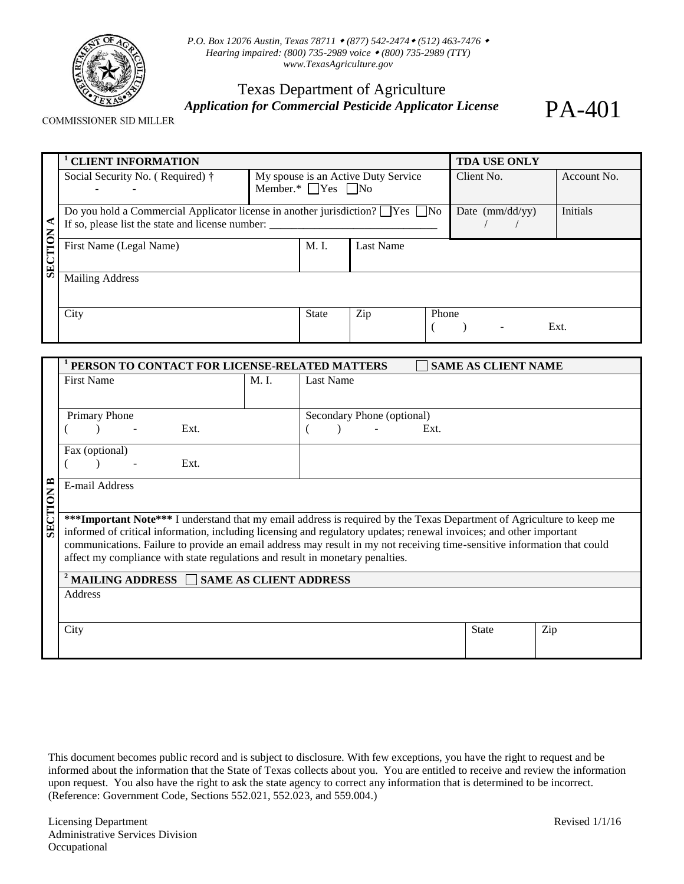

*P.O. Box 12076 Austin, Texas 78711 (877) 542-2474 (512) 463-7476 Hearing impaired: (800) 735-2989 voice (800) 735-2989 (TTY) [www.TexasAgriculture.gov](http://www.agr.state.tx.us/)* 

## Texas Department of Agriculture *Application for Commercial Pesticide Applicator License*

PA-401

COMMISSIONER SID MILLER

|                        | <b>CLIENT INFORMATION</b>                                                                 |        |                                     | <b>TDA USE ONLY</b> |       |                          |                 |  |
|------------------------|-------------------------------------------------------------------------------------------|--------|-------------------------------------|---------------------|-------|--------------------------|-----------------|--|
|                        | Social Security No. (Required) †                                                          |        | My spouse is an Active Duty Service |                     |       | Client No.               | Account No.     |  |
|                        |                                                                                           |        | Member.* $\Box$ Yes $\Box$ No       |                     |       |                          |                 |  |
|                        | Do you hold a Commercial Applicator license in another jurisdiction? $\Box$ Yes $\Box$ No |        |                                     |                     |       | Date $\text{(mm/dd/yy)}$ | <b>Initials</b> |  |
| ≺                      | If so, please list the state and license number: ________________________________         |        |                                     |                     |       |                          |                 |  |
| <b>SECTION</b>         | First Name (Legal Name)                                                                   | M. I.  | <b>Last Name</b>                    |                     |       |                          |                 |  |
|                        |                                                                                           |        |                                     |                     |       |                          |                 |  |
| <b>Mailing Address</b> |                                                                                           |        |                                     |                     |       |                          |                 |  |
|                        |                                                                                           |        |                                     |                     |       |                          |                 |  |
|                        | City                                                                                      |        | State                               | Zip                 | Phone |                          |                 |  |
|                        |                                                                                           |        |                                     |                     |       |                          | Ext.            |  |
|                        |                                                                                           |        |                                     |                     |       |                          |                 |  |
|                        | PERSON TO CONTACT FOR LICENSE-RELATED MATTERS<br><b>SAME AS CLIENT NAME</b>               |        |                                     |                     |       |                          |                 |  |
|                        | <b>First Name</b>                                                                         | $M1$ . | <b>Last Name</b>                    |                     |       |                          |                 |  |
|                        |                                                                                           |        |                                     |                     |       |                          |                 |  |
|                        | Primary Phone                                                                             |        | Secondary Phone (optional)          |                     |       |                          |                 |  |
|                        | Ext.                                                                                      |        |                                     |                     | Ext.  |                          |                 |  |

|                  | ____                                                                                                                                                                                                                                                                                                                                                                                                                                                      | 111 L |              |     |  |  |
|------------------|-----------------------------------------------------------------------------------------------------------------------------------------------------------------------------------------------------------------------------------------------------------------------------------------------------------------------------------------------------------------------------------------------------------------------------------------------------------|-------|--------------|-----|--|--|
|                  | Fax (optional)                                                                                                                                                                                                                                                                                                                                                                                                                                            |       |              |     |  |  |
|                  | Ext.                                                                                                                                                                                                                                                                                                                                                                                                                                                      |       |              |     |  |  |
| <b>SECTION B</b> | E-mail Address                                                                                                                                                                                                                                                                                                                                                                                                                                            |       |              |     |  |  |
|                  | ***Important Note*** I understand that my email address is required by the Texas Department of Agriculture to keep me<br>informed of critical information, including licensing and regulatory updates; renewal invoices; and other important<br>communications. Failure to provide an email address may result in my not receiving time-sensitive information that could<br>affect my compliance with state regulations and result in monetary penalties. |       |              |     |  |  |
|                  | <sup>2</sup> MAILING ADDRESS $\Box$ SAME AS CLIENT ADDRESS                                                                                                                                                                                                                                                                                                                                                                                                |       |              |     |  |  |
|                  | Address                                                                                                                                                                                                                                                                                                                                                                                                                                                   |       |              |     |  |  |
|                  | City                                                                                                                                                                                                                                                                                                                                                                                                                                                      |       | <b>State</b> | Zip |  |  |

This document becomes public record and is subject to disclosure. With few exceptions, you have the right to request and be informed about the information that the State of Texas collects about you. You are entitled to receive and review the information upon request. You also have the right to ask the state agency to correct any information that is determined to be incorrect. (Reference: Government Code, Sections 552.021, 552.023, and 559.004.)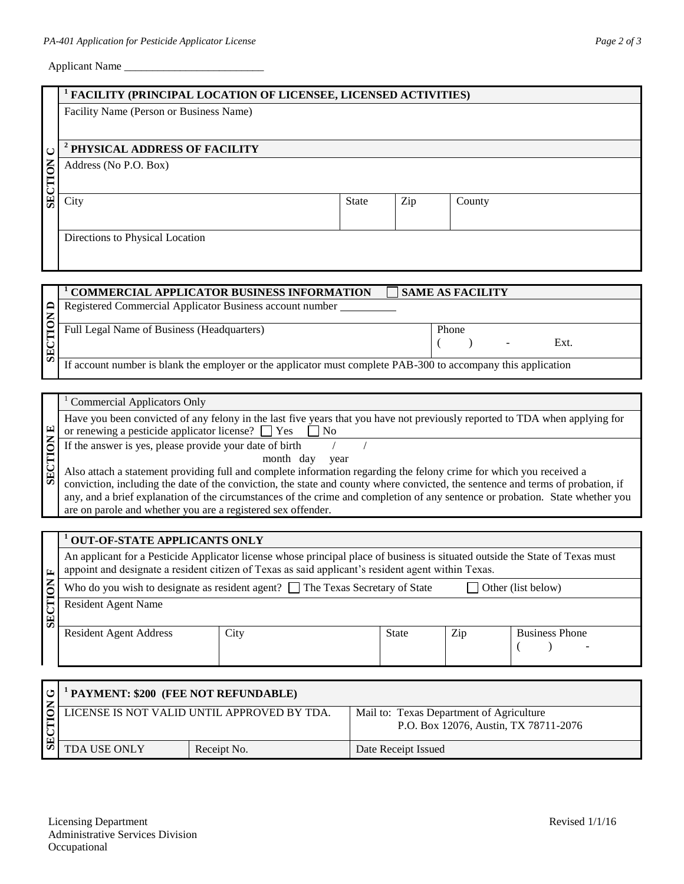## Applicant Name \_\_\_\_\_\_\_\_\_\_\_\_\_\_\_\_\_\_\_\_\_\_\_\_\_

|                | FACILITY (PRINCIPAL LOCATION OF LICENSEE, LICENSED ACTIVITIES)                                                                                                                                                                                                   |                                                                                                                             |              |                                       |        |                       |  |
|----------------|------------------------------------------------------------------------------------------------------------------------------------------------------------------------------------------------------------------------------------------------------------------|-----------------------------------------------------------------------------------------------------------------------------|--------------|---------------------------------------|--------|-----------------------|--|
|                | Facility Name (Person or Business Name)                                                                                                                                                                                                                          |                                                                                                                             |              |                                       |        |                       |  |
|                |                                                                                                                                                                                                                                                                  |                                                                                                                             |              |                                       |        |                       |  |
| ◡              | <sup>2</sup> PHYSICAL ADDRESS OF FACILITY                                                                                                                                                                                                                        |                                                                                                                             |              |                                       |        |                       |  |
| <b>SECTION</b> | Address (No P.O. Box)                                                                                                                                                                                                                                            |                                                                                                                             |              |                                       |        |                       |  |
|                | City                                                                                                                                                                                                                                                             |                                                                                                                             | <b>State</b> | Zip                                   | County |                       |  |
|                | Directions to Physical Location                                                                                                                                                                                                                                  |                                                                                                                             |              |                                       |        |                       |  |
|                |                                                                                                                                                                                                                                                                  |                                                                                                                             |              |                                       |        |                       |  |
| $\Box$         |                                                                                                                                                                                                                                                                  | <b>COMMERCIAL APPLICATOR BUSINESS INFORMATION</b><br><b>SAME AS FACILITY</b>                                                |              |                                       |        |                       |  |
|                |                                                                                                                                                                                                                                                                  | Registered Commercial Applicator Business account number                                                                    |              |                                       |        |                       |  |
| SECTION        | Full Legal Name of Business (Headquarters)                                                                                                                                                                                                                       |                                                                                                                             |              | Phone<br>Ext.<br>€<br>$\lambda$       |        |                       |  |
|                |                                                                                                                                                                                                                                                                  | If account number is blank the employer or the applicator must complete PAB-300 to accompany this application               |              |                                       |        |                       |  |
|                |                                                                                                                                                                                                                                                                  |                                                                                                                             |              |                                       |        |                       |  |
|                | <b>Commercial Applicators Only</b>                                                                                                                                                                                                                               |                                                                                                                             |              |                                       |        |                       |  |
|                |                                                                                                                                                                                                                                                                  | Have you been convicted of any felony in the last five years that you have not previously reported to TDA when applying for |              |                                       |        |                       |  |
| $\mathbf{E}$   | or renewing a pesticide applicator license? $\Box$ Yes<br>N <sub>o</sub>                                                                                                                                                                                         |                                                                                                                             |              |                                       |        |                       |  |
| SECTION        | If the answer is yes, please provide your date of birth                                                                                                                                                                                                          | month day                                                                                                                   | year         |                                       |        |                       |  |
|                |                                                                                                                                                                                                                                                                  | Also attach a statement providing full and complete information regarding the felony crime for which you received a         |              |                                       |        |                       |  |
|                | conviction, including the date of the conviction, the state and county where convicted, the sentence and terms of probation, if<br>any, and a brief explanation of the circumstances of the crime and completion of any sentence or probation. State whether you |                                                                                                                             |              |                                       |        |                       |  |
|                |                                                                                                                                                                                                                                                                  | are on parole and whether you are a registered sex offender.                                                                |              |                                       |        |                       |  |
|                |                                                                                                                                                                                                                                                                  |                                                                                                                             |              |                                       |        |                       |  |
|                | <b>OUT-OF-STATE APPLICANTS ONLY</b>                                                                                                                                                                                                                              |                                                                                                                             |              |                                       |        |                       |  |
| 匞              | An applicant for a Pesticide Applicator license whose principal place of business is situated outside the State of Texas must<br>appoint and designate a resident citizen of Texas as said applicant's resident agent within Texas.                              |                                                                                                                             |              |                                       |        |                       |  |
| 7              | Who do you wish to designate as resident agent? $\Box$ The Texas Secretary of State<br>Other (list below)                                                                                                                                                        |                                                                                                                             |              |                                       |        |                       |  |
| SECTION        | <b>Resident Agent Name</b>                                                                                                                                                                                                                                       |                                                                                                                             |              |                                       |        |                       |  |
|                | <b>Resident Agent Address</b>                                                                                                                                                                                                                                    | City                                                                                                                        |              | <b>State</b>                          | Zip    | <b>Business Phone</b> |  |
|                |                                                                                                                                                                                                                                                                  |                                                                                                                             |              |                                       |        | $\lambda$<br>(        |  |
|                |                                                                                                                                                                                                                                                                  |                                                                                                                             |              |                                       |        |                       |  |
| ڻ              | <sup>1</sup> PAYMENT: \$200 (FEE NOT REFUNDABLE)                                                                                                                                                                                                                 |                                                                                                                             |              |                                       |        |                       |  |
|                | LICENSE IS NOT VALID UNTIL APPROVED BY TDA.<br>Mail to: Texas Department of Agriculture                                                                                                                                                                          |                                                                                                                             |              |                                       |        |                       |  |
| SECTION        |                                                                                                                                                                                                                                                                  |                                                                                                                             |              | P.O. Box 12076, Austin, TX 78711-2076 |        |                       |  |
|                | TDA USE ONLY                                                                                                                                                                                                                                                     | Receipt No.                                                                                                                 |              | Date Receipt Issued                   |        |                       |  |
|                |                                                                                                                                                                                                                                                                  |                                                                                                                             |              |                                       |        |                       |  |
|                |                                                                                                                                                                                                                                                                  |                                                                                                                             |              |                                       |        |                       |  |
|                |                                                                                                                                                                                                                                                                  |                                                                                                                             |              |                                       |        |                       |  |
|                | <b>Licensing Department</b><br>Revised $1/1/16$<br><b>Administrative Services Division</b>                                                                                                                                                                       |                                                                                                                             |              |                                       |        |                       |  |
| Occupational   |                                                                                                                                                                                                                                                                  |                                                                                                                             |              |                                       |        |                       |  |